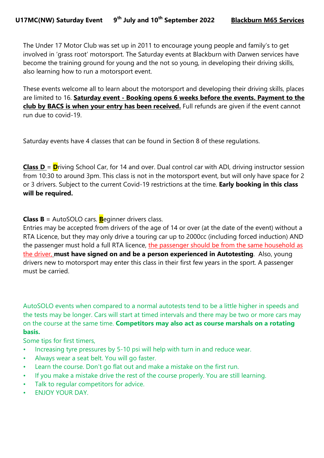The Under 17 Motor Club was set up in 2011 to encourage young people and family's to get involved in 'grass root' motorsport. The Saturday events at Blackburn with Darwen services have become the training ground for young and the not so young, in developing their driving skills, also learning how to run a motorsport event.

These events welcome all to learn about the motorsport and developing their driving skills, places are limited to 16. Saturday event - Booking opens 6 weeks before the events. Payment to the club by BACS is when your entry has been received. Full refunds are given if the event cannot run due to covid-19.

Saturday events have 4 classes that can be found in Section 8 of these regulations.

**Class D** =  $\mathbf{D}$ riving School Car, for 14 and over. Dual control car with ADI, driving instructor session from 10:30 to around 3pm. This class is not in the motorsport event, but will only have space for 2 or 3 drivers. Subject to the current Covid-19 restrictions at the time. Early booking in this class will be required.

**Class B** = AutoSOLO cars. **B**eginner drivers class.

Entries may be accepted from drivers of the age of 14 or over (at the date of the event) without a RTA Licence, but they may only drive a touring car up to 2000cc (including forced induction) AND the passenger must hold a full RTA licence, the passenger should be from the same household as the driver, must have signed on and be a person experienced in Autotesting. Also, young drivers new to motorsport may enter this class in their first few years in the sport. A passenger must be carried.

AutoSOLO events when compared to a normal autotests tend to be a little higher in speeds and the tests may be longer. Cars will start at timed intervals and there may be two or more cars may on the course at the same time. Competitors may also act as course marshals on a rotating basis.

Some tips for first timers,

- Increasing tyre pressures by 5-10 psi will help with turn in and reduce wear.
- Always wear a seat belt. You will go faster.
- Learn the course. Don't go flat out and make a mistake on the first run.
- If you make a mistake drive the rest of the course properly. You are still learning.
- Talk to regular competitors for advice.
- ENJOY YOUR DAY.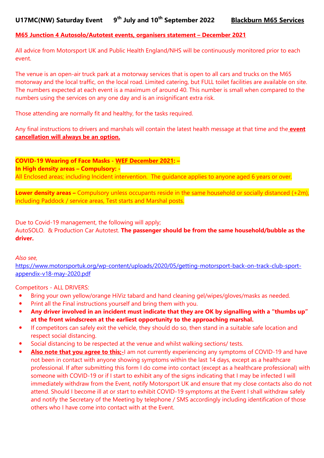### M65 Junction 4 Autosolo/Autotest events, organisers statement – December 2021

All advice from Motorsport UK and Public Health England/NHS will be continuously monitored prior to each event.

The venue is an open-air truck park at a motorway services that is open to all cars and trucks on the M65 motorway and the local traffic, on the local road. Limited catering, but FULL toilet facilities are available on site. The numbers expected at each event is a maximum of around 40. This number is small when compared to the numbers using the services on any one day and is an insignificant extra risk.

Those attending are normally fit and healthy, for the tasks required.

Any final instructions to drivers and marshals will contain the latest health message at that time and the **event** cancellation will always be an option.

COVID-19 Wearing of Face Masks - WEF December 2021: – In High density areas – Compulsory: - All Enclosed areas; including Incident intervention. The guidance applies to anyone aged 6 years or over.

Lower density areas – Compulsory unless occupants reside in the same household or socially distanced (+2m), including Paddock / service areas, Test starts and Marshal posts.

Due to Covid-19 management, the following will apply; AutoSOLO. & Production Car Autotest. The passenger should be from the same household/bubble as the driver.

Also see,

https://www.motorsportuk.org/wp-content/uploads/2020/05/getting-motorsport-back-on-track-club-sportappendix-v18-may-2020.pdf

Competitors - ALL DRIVERS:

- Bring your own yellow/orange HiViz tabard and hand cleaning gel/wipes/gloves/masks as needed.
- Print all the Final instructions yourself and bring them with you.
- Any driver involved in an incident must indicate that they are OK by signalling with a "thumbs up" at the front windscreen at the earliest opportunity to the approaching marshal.
- If competitors can safely exit the vehicle, they should do so, then stand in a suitable safe location and respect social distancing.
- Social distancing to be respected at the venue and whilst walking sections/ tests.
- Also note that you agree to this:-I am not currently experiencing any symptoms of COVID-19 and have not been in contact with anyone showing symptoms within the last 14 days, except as a healthcare professional. If after submitting this form I do come into contact (except as a healthcare professional) with someone with COVID-19 or if I start to exhibit any of the signs indicating that I may be infected I will immediately withdraw from the Event, notify Motorsport UK and ensure that my close contacts also do not attend. Should I become ill at or start to exhibit COVID-19 symptoms at the Event I shall withdraw safely and notify the Secretary of the Meeting by telephone / SMS accordingly including identification of those others who I have come into contact with at the Event.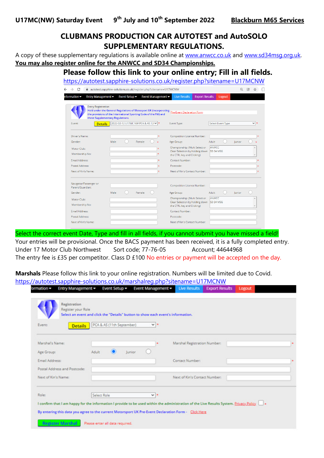# CLUBMANS PRODUCTION CAR AUTOTEST and AutoSOLO SUPPLEMENTARY REGULATIONS.

A copy of these supplementary regulations is available online at www.anwcc.co.uk and www.sd34msg.org.uk. You may also register online for the ANWCC and SD34 Championships.

# Please follow this link to your online entry; Fill in all fields.

https://autotest.sapphire-solutions.co.uk/register.php?sitename=U17MCNW

| autotest.sapphire-solutions.co.uk/register.php?sitename=U17MCNW                                                                                                                                         |      |                                  |                                     |                               |                                                                                                 |                                 |        |              |
|---------------------------------------------------------------------------------------------------------------------------------------------------------------------------------------------------------|------|----------------------------------|-------------------------------------|-------------------------------|-------------------------------------------------------------------------------------------------|---------------------------------|--------|--------------|
| Entry Management <del>▼</del><br>nformation $\blacktriangledown$                                                                                                                                        |      | Event Setup $\blacktriangledown$ |                                     | Event Management <del>▼</del> | <b>Live Results</b>                                                                             | <b>Export Results</b><br>Logout |        |              |
| <b>Entry Registration</b><br>Held under the General Regulations of Motosport UK (incorporating<br>the provisions of the International Sporting Code of the FIA) and<br>these Supplementary Regulations. |      |                                  |                                     |                               | Pre-Event Declaration Form                                                                      |                                 |        |              |
| Event:<br><b>Details</b>                                                                                                                                                                                |      |                                  | 2022-02-12 U17MC NW PCA & AS 12 v * |                               | Event Type:                                                                                     | Select Event Type               |        | $\checkmark$ |
| Driver's Name:                                                                                                                                                                                          |      |                                  |                                     |                               | <b>Competition Licence Number:</b>                                                              |                                 |        |              |
| Gender:                                                                                                                                                                                                 | Male |                                  | Female                              |                               | Age Group:                                                                                      | Adult                           | lunior |              |
| Motor Club:<br>Membership No:                                                                                                                                                                           |      |                                  |                                     |                               | Championship: (Multi Select or<br>Clear Selection by holding down<br>the CTRL key and Clicking) | ANWCC<br><b>SD 34 MSG</b>       |        |              |
| <b>Email Address:</b>                                                                                                                                                                                   |      |                                  |                                     |                               | Contact Number:                                                                                 |                                 |        |              |
| Postal Address:                                                                                                                                                                                         |      |                                  |                                     |                               | Postcode:                                                                                       |                                 |        |              |
| Next of Kin's Name:                                                                                                                                                                                     |      |                                  |                                     |                               | Next of Kin's Contact Number:                                                                   |                                 |        |              |
| Navigator/Passenger or<br>Parent/Guardian:                                                                                                                                                              |      |                                  |                                     |                               | <b>Competition Licence Number:</b>                                                              |                                 |        |              |
| Gender:                                                                                                                                                                                                 | Male |                                  | Female                              |                               | Age Group:                                                                                      | Adult                           | lunior |              |
| Motor Club:                                                                                                                                                                                             |      |                                  |                                     |                               | Championship: (Multi Select or<br>Clear Selection by holding down                               | <b>ANWCC</b><br>SD 34 MSG       |        |              |
| Membership No:                                                                                                                                                                                          |      |                                  |                                     |                               | the CTRL key and Clicking)                                                                      |                                 |        |              |
| Email Address:                                                                                                                                                                                          |      |                                  |                                     |                               | Contact Number:                                                                                 |                                 |        |              |
| Postal Address:                                                                                                                                                                                         |      |                                  |                                     |                               | Postcode:                                                                                       |                                 |        |              |
| Next of Kin's Name:                                                                                                                                                                                     |      |                                  |                                     |                               | Next of Kin's Contact Number:                                                                   |                                 |        |              |

Select the correct event Date, Type and fill in all fields, if you cannot submit you have missed a field! Your entries will be provisional. Once the BACS payment has been received, it is a fully completed entry. Under 17 Motor Club Northwest Sort code; 77-76-05 Account; 44644968 The entry fee is £35 per competitor. Class D £100 No entries or payment will be accepted on the day.

Marshals Please follow this link to your online registration. Numbers will be limited due to Covid. https://autotest.sapphire-solutions.co.uk/marshalreg.php?sitename=U17MCNW

| <b>Registration</b><br>Register your Role<br>Select an event and click the "Details" button to show each event's information.<br>PCA & AS (11th September)<br>Event:<br>$\vee$ $\vdash$<br><b>Details</b><br>Marshal's Name:<br>Marshal Registration Number:<br>Age Group:<br>Adult<br>Junior<br>Contact Number:<br>Email Address:<br>Postal Address and Postcode: |  |
|--------------------------------------------------------------------------------------------------------------------------------------------------------------------------------------------------------------------------------------------------------------------------------------------------------------------------------------------------------------------|--|
|                                                                                                                                                                                                                                                                                                                                                                    |  |
|                                                                                                                                                                                                                                                                                                                                                                    |  |
|                                                                                                                                                                                                                                                                                                                                                                    |  |
|                                                                                                                                                                                                                                                                                                                                                                    |  |
|                                                                                                                                                                                                                                                                                                                                                                    |  |
| Next of Kin's Name:<br>Next of Kin's Contact Number:                                                                                                                                                                                                                                                                                                               |  |
| Role:<br>Select Role<br>$v -$                                                                                                                                                                                                                                                                                                                                      |  |
| I confirm that I am happy for the information I provide to be used within the administration of the Live Results System. Privacy Policy                                                                                                                                                                                                                            |  |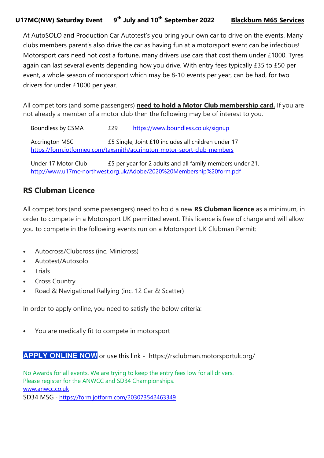At AutoSOLO and Production Car Autotest's you bring your own car to drive on the events. Many clubs members parent's also drive the car as having fun at a motorsport event can be infectious! Motorsport cars need not cost a fortune, many drivers use cars that cost them under £1000. Tyres again can last several events depending how you drive. With entry fees typically £35 to £50 per event, a whole season of motorsport which may be 8-10 events per year, can be had, for two drivers for under £1000 per year.

All competitors (and some passengers) need to hold a Motor Club membership card. If you are not already a member of a motor club then the following may be of interest to you.

Boundless by CSMA  $£29$  https://www.boundless.co.uk/signup Accrington MSC £5 Single, Joint £10 includes all children under 17 https://form.jotformeu.com/taxsmith/accrington-motor-sport-club-members

Under 17 Motor Club £5 per year for 2 adults and all family members under 21. http://www.u17mc-northwest.org.uk/Adobe/2020%20Membership%20form.pdf

# RS Clubman Licence

All competitors (and some passengers) need to hold a new **RS Clubman licence** as a minimum, in order to compete in a Motorsport UK permitted event. This licence is free of charge and will allow you to compete in the following events run on a Motorsport UK Clubman Permit:

- Autocross/Clubcross (inc. Minicross)
- Autotest/Autosolo
- Trials
- Cross Country
- Road & Navigational Rallying (inc. 12 Car & Scatter)

In order to apply online, you need to satisfy the below criteria:

• You are medically fit to compete in motorsport

**APPLY ONLINE NOW** or use this link - https://rsclubman.motorsportuk.org/

No Awards for all events. We are trying to keep the entry fees low for all drivers. Please register for the ANWCC and SD34 Championships. www.anwcc.co.uk SD34 MSG - https://form.jotform.com/203073542463349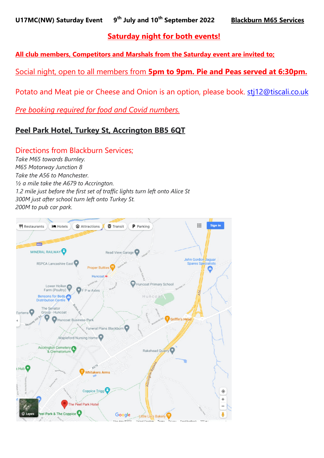# Saturday night for both events!

All club members, Competitors and Marshals from the Saturday event are invited to;

Social night, open to all members from 5pm to 9pm. Pie and Peas served at 6:30pm.

Potato and Meat pie or Cheese and Onion is an option, please book. stj12@tiscali.co.uk

Pre booking required for food and Covid numbers.

# Peel Park Hotel, Turkey St, Accrington BB5 6QT

# Directions from Blackburn Services;

Take M65 towards Burnley. M65 Motorway Junction 8 Take the A56 to Manchester. ½ a mile take the A679 to Accrington. 1.2 mile just before the first set of traffic lights turn left onto Alice St 300M just after school turn left onto Turkey St. 200M to pub car park.

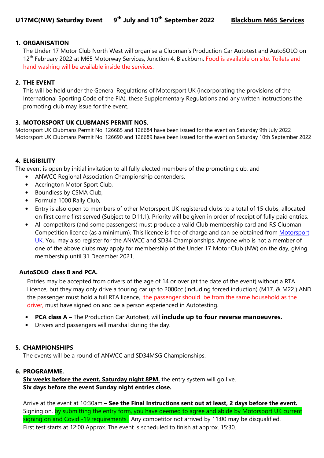### 1. ORGANISATION

The Under 17 Motor Club North West will organise a Clubman's Production Car Autotest and AutoSOLO on 12<sup>th</sup> February 2022 at M65 Motorway Services, Junction 4, Blackburn. Food is available on site. Toilets and hand washing will be available inside the services.

### 2. THE EVENT

This will be held under the General Regulations of Motorsport UK (incorporating the provisions of the International Sporting Code of the FIA), these Supplementary Regulations and any written instructions the promoting club may issue for the event.

### 3. MOTORSPORT UK CLUBMANS PERMIT NOS.

Motorsport UK Clubmans Permit No. 126685 and 126684 have been issued for the event on Saturday 9th July 2022 Motorsport UK Clubmans Permit No. 126690 and 126689 have been issued for the event on Saturday 10th September 2022

## 4. ELIGIBILITY

The event is open by initial invitation to all fully elected members of the promoting club, and

- ANWCC Regional Association Championship contenders.
- Accrington Motor Sport Club,
- Boundless by CSMA Club,
- Formula 1000 Rally Club,
- Entry is also open to members of other Motorsport UK registered clubs to a total of 15 clubs, allocated on first come first served (Subject to D11.1). Priority will be given in order of receipt of fully paid entries.
- All competitors (and some passengers) must produce a valid Club membership card and RS Clubman Competition licence (as a minimum). This licence is free of charge and can be obtained from Motorsport UK. You may also register for the ANWCC and SD34 Championships. Anyone who is not a member of one of the above clubs may apply for membership of the Under 17 Motor Club (NW) on the day, giving membership until 31 December 2021.

## AutoSOLO class B and PCA.

Entries may be accepted from drivers of the age of 14 or over (at the date of the event) without a RTA Licence, but they may only drive a touring car up to 2000cc (including forced induction) (M17. & M22.) AND the passenger must hold a full RTA licence, the passenger should be from the same household as the driver, must have signed on and be a person experienced in Autotesting.

- PCA class A The Production Car Autotest, will include up to four reverse manoeuvres.
- Drivers and passengers will marshal during the day.

## 5. CHAMPIONSHIPS

The events will be a round of ANWCC and SD34MSG Championships.

#### 6. PROGRAMME.

Six weeks before the event. Saturday night 8PM. the entry system will go live. Six days before the event Sunday night entries close.

Arrive at the event at 10:30am – See the Final Instructions sent out at least, 2 days before the event. Signing on, by submitting the entry form, you have deemed to agree and abide by Motorsport UK current signing on and Covid -19 requirements. Any competitor not arrived by 11:00 may be disqualified. First test starts at 12:00 Approx. The event is scheduled to finish at approx. 15:30.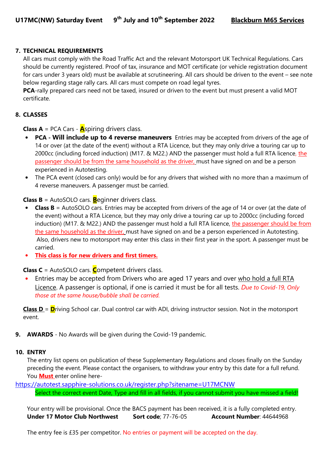### 7. TECHNICAL REQUIREMENTS

All cars must comply with the Road Traffic Act and the relevant Motorsport UK Technical Regulations. Cars should be currently registered. Proof of tax, insurance and MOT certificate (or vehicle registration document for cars under 3 years old) must be available at scrutineering. All cars should be driven to the event – see note below regarding stage rally cars. All cars must compete on road legal tyres.

PCA-rally prepared cars need not be taxed, insured or driven to the event but must present a valid MOT certificate.

### 8. CLASSES

**Class A** = PCA Cars -  $\mathbf{A}$ spiring drivers class.

- PCA Will include up to 4 reverse maneuvers Entries may be accepted from drivers of the age of 14 or over (at the date of the event) without a RTA Licence, but they may only drive a touring car up to 2000cc (including forced induction) (M17. & M22.) AND the passenger must hold a full RTA licence, the passenger should be from the same household as the driver, must have signed on and be a person experienced in Autotesting.
- The PCA event (closed cars only) would be for any drivers that wished with no more than a maximum of 4 reverse maneuvers. A passenger must be carried.

**Class B** = AutoSOLO cars. **B**eginner drivers class.

- **Class B** = AutoSOLO cars. Entries may be accepted from drivers of the age of 14 or over (at the date of the event) without a RTA Licence, but they may only drive a touring car up to 2000cc (including forced induction) (M17. & M22.) AND the passenger must hold a full RTA licence, the passenger should be from the same household as the driver, must have signed on and be a person experienced in Autotesting. Also, drivers new to motorsport may enter this class in their first year in the sport. A passenger must be carried.
- This class is for new drivers and first timers.

**Class C** = AutoSOLO cars. **C**ompetent drivers class.

Entries may be accepted from Drivers who are aged 17 years and over who hold a full RTA Licence. A passenger is optional, if one is carried it must be for all tests. Due to Covid-19, Only those at the same house/bubble shall be carried.

**Class D** =  $\mathbf{D}$ riving School car. Dual control car with ADI, driving instructor session. Not in the motorsport event.

**9. AWARDS** - No Awards will be given during the Covid-19 pandemic.

#### 10. ENTRY

The entry list opens on publication of these Supplementary Regulations and closes finally on the Sunday preceding the event. Please contact the organisers, to withdraw your entry by this date for a full refund. You **Must** enter online here-

https://autotest.sapphire-solutions.co.uk/register.php?sitename=U17MCNW

Select the correct event Date, Type and fill in all fields, if you cannot submit you have missed a field!

 Your entry will be provisional. Once the BACS payment has been received, it is a fully completed entry. Under 17 Motor Club Northwest Sort code; 77-76-05 Account Number: 44644968

The entry fee is £35 per competitor. No entries or payment will be accepted on the day.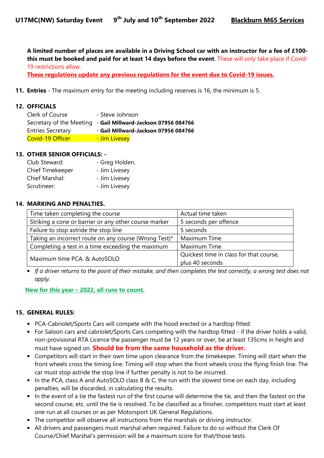A limited number of places are available in a Driving School car with an instructor for a fee of £100 this must be booked and paid for at least 14 days before the event. These will only take place if Covid-19 restrictions allow.

These regulations update any previous regulations for the event due to Covid-19 issues.

11. **Entries** - The maximum entry for the meeting including reserves is 16, the minimum is 5.

#### 12. OFFICIALS

| Clerk of Course          | - Steve Johnson                                               |
|--------------------------|---------------------------------------------------------------|
|                          | Secretary of the Meeting - Gail Millward-Jackson 07956 084766 |
| <b>Entries Secretary</b> | - Gail Millward-Jackson 07956 084766                          |
| Covid-19 Officer         | - Jim Livesey                                                 |

#### 13. OTHER SENIOR OFFICIALS: -

| Club Steward:    | - Greg Holden. |
|------------------|----------------|
| Chief Timekeeper | - Jim Livesey  |
| Chief Marshal:   | - Jim Livesey  |
| Scrutineer:      | - Jim Livesey  |

#### 14. MARKING AND PENALTIES.

| Time taken completing the course                      | Actual time taken                       |
|-------------------------------------------------------|-----------------------------------------|
| Striking a cone or barrier or any other course marker | 5 seconds per offence                   |
| Failure to stop astride the stop line                 | 5 seconds                               |
| Taking an incorrect route on any course (Wrong Test)* | Maximum Time                            |
| Completing a test in a time exceeding the maximum     | Maximum Time                            |
| Maximum time PCA. & AutoSOLO                          | Quickest time in class for that course, |
|                                                       | plus 40 seconds                         |

• If a driver returns to the point of their mistake, and then completes the test correctly, a wrong test does not apply.

New for this year – 2022, all runs to count.

#### 15. GENERAL RULES:

- PCA-Cabriolet/Sports Cars will compete with the hood erected or a hardtop fitted.
- For Saloon cars and cabriolet/Sports Cars competing with the hardtop fitted if the driver holds a valid, non-provisional RTA Licence the passenger must be 12 years or over, be at least 135cms in height and must have signed on. **Should be from the same household as the driver.**
- Competitors will start in their own time upon clearance from the timekeeper. Timing will start when the front wheels cross the timing line. Timing will stop when the front wheels cross the flying finish line. The car must stop astride the stop line if further penalty is not to be incurred.
- In the PCA, class A and AutoSOLO class B & C, the run with the slowest time on each day, including penalties, will be discarded, in calculating the results.
- In the event of a tie the fastest run of the first course will determine the tie, and then the fastest on the second course, etc. until the tie is resolved. To be classified as a finisher, competitors must start at least one run at all courses or as per Motorsport UK General Regulations.
- The competitor will observe all instructions from the marshals or driving instructor.
- All drivers and passengers must marshal when required. Failure to do so without the Clerk Of Course/Chief Marshal's permission will be a maximum score for that/those tests.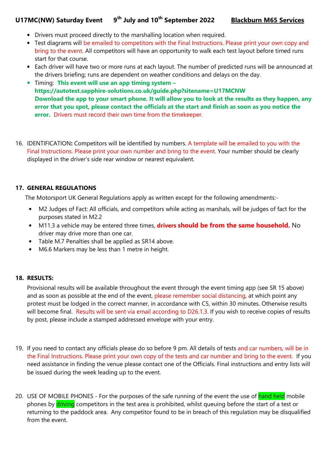# U17MC(NW) Saturday Event 9<sup>th</sup> July and 10<sup>th</sup> September 2022 Blackburn M65 Services

- Drivers must proceed directly to the marshalling location when required.
- Test diagrams will be emailed to competitors with the Final Instructions. Please print your own copy and bring to the event. All competitors will have an opportunity to walk each test layout before timed runs start for that course.
- Each driver will have two or more runs at each layout. The number of predicted runs will be announced at the drivers briefing; runs are dependent on weather conditions and delays on the day.
- Timing: This event will use an app timing system https://autotest.sapphire-solutions.co.uk/guide.php?sitename=U17MCNW Download the app to your smart phone. It will allow you to look at the results as they happen, any error that you spot, please contact the officials at the start and finish as soon as you notice the error. Drivers must record their own time from the timekeeper.
- 16. IDENTIFICATION: Competitors will be identified by numbers. A template will be emailed to you with the Final Instructions. Please print your own number and bring to the event. Your number should be clearly displayed in the driver's side rear window or nearest equivalent.

## 17. GENERAL REGULATIONS

The Motorsport UK General Regulations apply as written except for the following amendments:-

- M2 Judges of Fact: All officials, and competitors while acting as marshals, will be judges of fact for the purposes stated in M2.2
- M11.3 a vehicle may be entered three times, **drivers should be from the same household.** No driver may drive more than one car.
- Table M.7 Penalties shall be applied as SR14 above.
- M6.6 Markers may be less than 1 metre in height.

#### 18. RESULTS:

Provisional results will be available throughout the event through the event timing app (see SR 15 above) and as soon as possible at the end of the event, please remember social distancing, at which point any protest must be lodged in the correct manner, in accordance with C5, within 30 minutes. Otherwise results will become final. Results will be sent via email according to D26.1.3. If you wish to receive copies of results by post, please include a stamped addressed envelope with your entry.

- 19. If you need to contact any officials please do so before 9 pm. All details of tests and car numbers, will be in the Final Instructions. Please print your own copy of the tests and car number and bring to the event. If you need assistance in finding the venue please contact one of the Officials. Final instructions and entry lists will be issued during the week leading up to the event.
- 20. USE OF MOBILE PHONES For the purposes of the safe running of the event the use of hand held mobile phones by **driving** competitors in the test area is prohibited, whilst queuing before the start of a test or returning to the paddock area. Any competitor found to be in breach of this regulation may be disqualified from the event.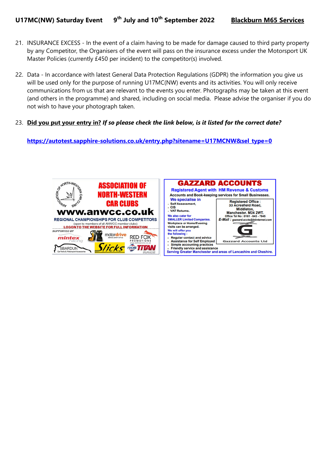- 21. INSURANCE EXCESS In the event of a claim having to be made for damage caused to third party property by any Competitor, the Organisers of the event will pass on the insurance excess under the Motorsport UK Master Policies (currently £450 per incident) to the competitor(s) involved.
- 22. Data In accordance with latest General Data Protection Regulations (GDPR) the information you give us will be used only for the purpose of running U17MC(NW) events and its activities. You will only receive communications from us that are relevant to the events you enter. Photographs may be taken at this event (and others in the programme) and shared, including on social media. Please advise the organiser if you do not wish to have your photograph taken.
- 23. Did you put your entry in? If so please check the link below, is it listed for the correct date?

#### https://autotest.sapphire-solutions.co.uk/entry.php?sitename=U17MCNW&sel\_type=0

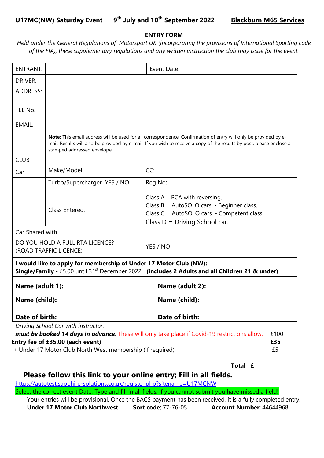### ENTRY FORM

Held under the General Regulations of Motorsport UK (incorporating the provisions of International Sporting code of the FIA), these supplementary regulations and any written instruction the club may issue for the event.

|                                 | Entry fee of £35.00 (each event)<br>+ Under 17 Motor Club North West membership (if required) |                                                                               | must be booked 14 days in advance. These will only take place if Covid-19 restrictions allow.                                                                                                                                            | £100<br>£35<br>£5 |  |
|---------------------------------|-----------------------------------------------------------------------------------------------|-------------------------------------------------------------------------------|------------------------------------------------------------------------------------------------------------------------------------------------------------------------------------------------------------------------------------------|-------------------|--|
|                                 | Driving School Car with instructor.                                                           |                                                                               |                                                                                                                                                                                                                                          |                   |  |
| Name (child):<br>Date of birth: |                                                                                               |                                                                               | Date of birth:                                                                                                                                                                                                                           |                   |  |
|                                 |                                                                                               |                                                                               | Name (child):                                                                                                                                                                                                                            |                   |  |
| Name (adult 1):                 |                                                                                               |                                                                               | Name (adult 2):                                                                                                                                                                                                                          |                   |  |
|                                 | I would like to apply for membership of Under 17 Motor Club (NW):                             |                                                                               | Single/Family - £5.00 until 31 <sup>st</sup> December 2022 (includes 2 Adults and all Children 21 & under)                                                                                                                               |                   |  |
|                                 | DO YOU HOLD A FULL RTA LICENCE?<br>(ROAD TRAFFIC LICENCE)                                     |                                                                               | YES / NO                                                                                                                                                                                                                                 |                   |  |
| Car Shared with                 |                                                                                               |                                                                               |                                                                                                                                                                                                                                          |                   |  |
|                                 |                                                                                               |                                                                               | Class C = AutoSOLO cars. - Competent class.<br>Class $D = Driving School car$ .                                                                                                                                                          |                   |  |
| Class Entered:                  |                                                                                               | Class $A = PCA$ with reversing.<br>Class B = AutoSOLO cars. - Beginner class. |                                                                                                                                                                                                                                          |                   |  |
|                                 | Turbo/Supercharger YES / NO                                                                   |                                                                               | Reg No:                                                                                                                                                                                                                                  |                   |  |
| Car                             | Make/Model:                                                                                   | CC:                                                                           |                                                                                                                                                                                                                                          |                   |  |
| <b>CLUB</b>                     |                                                                                               |                                                                               |                                                                                                                                                                                                                                          |                   |  |
|                                 | stamped addressed envelope.                                                                   |                                                                               | Note: This email address will be used for all correspondence. Confirmation of entry will only be provided by e-<br>mail. Results will also be provided by e-mail. If you wish to receive a copy of the results by post, please enclose a |                   |  |
| EMAIL:                          |                                                                                               |                                                                               |                                                                                                                                                                                                                                          |                   |  |
| TEL No.                         |                                                                                               |                                                                               |                                                                                                                                                                                                                                          |                   |  |
| <b>ADDRESS:</b>                 |                                                                                               |                                                                               |                                                                                                                                                                                                                                          |                   |  |
| <b>DRIVER:</b>                  |                                                                                               |                                                                               |                                                                                                                                                                                                                                          |                   |  |
| <b>ENTRANT:</b>                 |                                                                                               |                                                                               | Event Date:                                                                                                                                                                                                                              |                   |  |

# Please follow this link to your online entry; Fill in all fields.

https://autotest.sapphire-solutions.co.uk/register.php?sitename=U17MCNW

Select the correct event Date, Type and fill in all fields, if you cannot submit you have missed a field!

 Your entries will be provisional. Once the BACS payment has been received, it is a fully completed entry. Under 17 Motor Club Northwest Sort code; 77-76-05 Account Number: 44644968